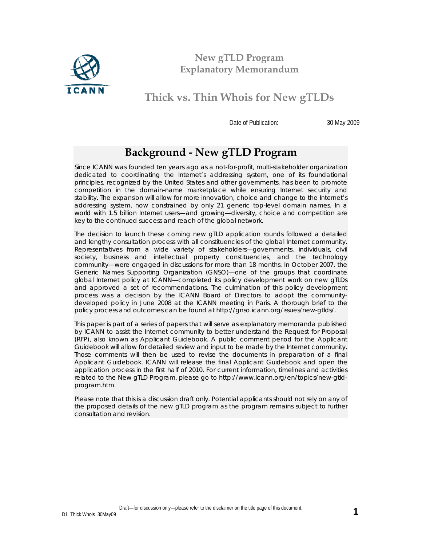

**New gTLD Program Explanatory Memorandum**

**Thick vs. Thin Whois for New gTLDs**

Date of Publication: 30 May 2009

## **Background - New gTLD Program**

Since ICANN was founded ten years ago as a not-for-profit, multi-stakeholder organization dedicated to coordinating the Internet's addressing system, one of its foundational principles, recognized by the United States and other governments, has been to promote competition in the domain-name marketplace while ensuring Internet security and stability. The expansion will allow for more innovation, choice and change to the Internet's addressing system, now constrained by only 21 generic top-level domain names. In a world with 1.5 billion Internet users—and growing—diversity, choice and competition are key to the continued success and reach of the global network.

The decision to launch these coming new gTLD application rounds followed a detailed and lengthy consultation process with all constituencies of the global Internet community. Representatives from a wide variety of stakeholders—governments, individuals, civil society, business and intellectual property constituencies, and the technology community—were engaged in discussions for more than 18 months. In October 2007, the Generic Names Supporting Organization (GNSO)—one of the groups that coordinate global Internet policy at ICANN—completed its policy development work on new gTLDs and approved a set of recommendations. The culmination of this policy development process was a decision by the ICANN Board of Directors to adopt the communitydeveloped policy in June 2008 at the ICANN meeting in Paris. A thorough brief to the policy process and outcomes can be found at <http://gnso.icann.org/issues/new-gtlds/>.

This paper is part of a series of papers that will serve as explanatory memoranda published by ICANN to assist the Internet community to better understand the Request for Proposal (RFP), also known as *Applicant Guidebook.* A public comment period for the Applicant Guidebook will allow for detailed review and input to be made by the Internet community. Those comments will then be used to revise the documents in preparation of a final Applicant Guidebook. ICANN will release the final Applicant Guidebook and open the application process in the first half of 2010. For current information, timelines and activities related to the New gTLD Program, please go to [http://www.icann.org/en/topics/new-gtld](http://www.icann.org/en/topics/new-gtld-program.htm)[program.htm.](http://www.icann.org/en/topics/new-gtld-program.htm)

Please note that this is a discussion draft only. Potential applicants should not rely on any of the proposed details of the new gTLD program as the program remains subject to further consultation and revision.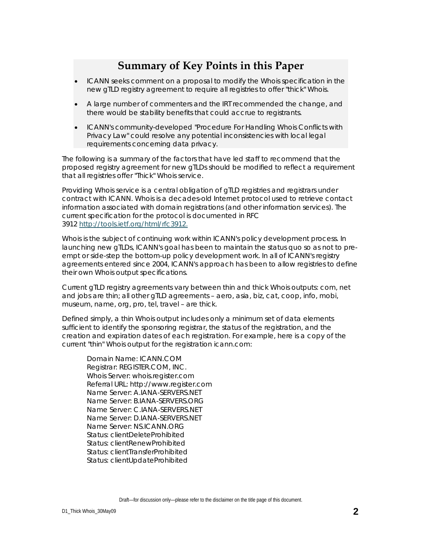## **Summary of Key Points in this Paper**

- ICANN seeks comment on a proposal to modify the Whois specification in the new gTLD registry agreement to require all registries to offer "thick" Whois.
- A large number of commenters and the IRT recommended the change, and there would be stability benefits that could accrue to registrants.
- ICANN's community-developed "Procedure For Handling Whois Conflicts with Privacy Law" could resolve any potential inconsistencies with local legal requirements concerning data privacy.

The following is a summary of the factors that have led staff to recommend that the proposed registry agreement for new gTLDs should be modified to reflect a requirement that all registries offer "Thick" Whois service.

Providing Whois service is a central obligation of gTLD registries and registrars under contract with ICANN. Whois is a decades-old Internet protocol used to retrieve contact information associated with domain registrations (and other information services). The current specification for the protocol is documented in RFC 3912 [http://tools.ietf.org/html/rfc3](http://tools.ietf.org/html/rfc3912)912.

Whois is the subject of continuing work within ICANN's policy development process. In launching new gTLDs, ICANN's goal has been to maintain the status quo so as not to preempt or side-step the bottom-up policy development work. In all of ICANN's registry agreements entered since 2004, ICANN's approach has been to allow registries to define their own Whois output specifications.

Current gTLD registry agreements vary between thin and thick Whois outputs: com, net and jobs are thin; all other gTLD agreements – aero, asia, biz, cat, coop, info, mobi, museum, name, org, pro, tel, travel – are thick.

Defined simply, a thin Whois output includes only a minimum set of data elements sufficient to identify the sponsoring registrar, the status of the registration, and the creation and expiration dates of each registration. For example, here is a copy of the current "thin" Whois output for the registration icann.com:

Domain Name: ICANN.COM Registrar: REGISTER.COM, INC. Whois Server: whois.register.com Referral URL: http://www.register.com Name Server: A.IANA-SERVERS.NET Name Server: B.IANA-SERVERS.ORG Name Server: C.IANA-SERVERS.NET Name Server: D.IANA-SERVERS.NET Name Server: NS.ICANN.ORG Status: clientDeleteProhibited Status: clientRenewProhibited Status: clientTransferProhibited Status: clientUpdateProhibited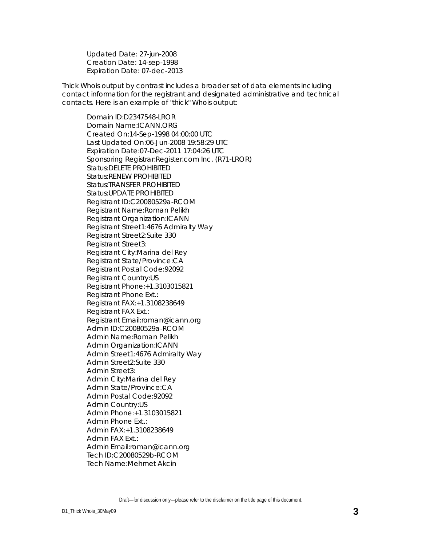Updated Date: 27-jun-2008 Creation Date: 14-sep-1998 Expiration Date: 07-dec-2013

Thick Whois output by contrast includes a broader set of data elements including contact information for the registrant and designated administrative and technical contacts. Here is an example of "thick" Whois output:

Domain ID:D2347548-LROR Domain Name:ICANN.ORG Created On:14-Sep-1998 04:00:00 UTC Last Updated On:06-Jun-2008 19:58:29 UTC Expiration Date:07-Dec-2011 17:04:26 UTC Sponsoring Registrar:Register.com Inc. (R71-LROR) Status:DELETE PROHIBITED Status:RENEW PROHIBITED Status:TRANSFER PROHIBITED Status:UPDATE PROHIBITED Registrant ID:C20080529a-RCOM Registrant Name:Roman Pelikh Registrant Organization:ICANN Registrant Street1:4676 Admiralty Way Registrant Street2:Suite 330 Registrant Street3: Registrant City:Marina del Rey Registrant State/Province:CA Registrant Postal Code:92092 Registrant Country:US Registrant Phone:+1.3103015821 Registrant Phone Ext.: Registrant FAX:+1.3108238649 Registrant FAX Ext.: Registrant Email:roman@icann.org Admin ID:C20080529a-RCOM Admin Name:Roman Pelikh Admin Organization:ICANN Admin Street1:4676 Admiralty Way Admin Street2:Suite 330 Admin Street3: Admin City:Marina del Rey Admin State/Province:CA Admin Postal Code:92092 Admin Country:US Admin Phone:+1.3103015821 Admin Phone Ext.: Admin FAX:+1.3108238649 Admin FAX Ext.: Admin Email:roman@icann.org Tech ID:C20080529b-RCOM Tech Name:Mehmet Akcin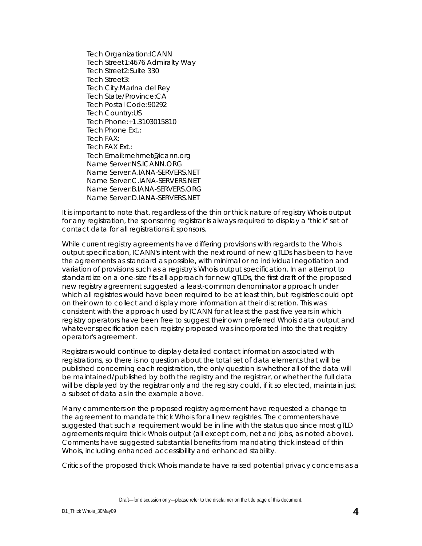Tech Organization:ICANN Tech Street1:4676 Admiralty Way Tech Street2:Suite 330 Tech Street3: Tech City:Marina del Rey Tech State/Province:CA Tech Postal Code:90292 Tech Country:US Tech Phone:+1.3103015810 Tech Phone Ext.: Tech FAX: Tech FAX Ext.: Tech Email:mehmet@icann.org Name Server:NS.ICANN.ORG Name Server:A.IANA-SERVERS.NET Name Server:C.IANA-SERVERS.NET Name Server:B.IANA-SERVERS.ORG Name Server:D.IANA-SERVERS.NET

It is important to note that, regardless of the thin or thick nature of registry Whois output for any registration, the sponsoring registrar is always required to display a "thick" set of contact data for all registrations it sponsors.

While current registry agreements have differing provisions with regards to the Whois output specification, ICANN's intent with the next round of new gTLDs has been to have the agreements as standard as possible, with minimal or no individual negotiation and variation of provisions such as a registry's Whois output specification. In an attempt to standardize on a one-size fits-all approach for new gTLDs, the first draft of the proposed new registry agreement suggested a least-common denominator approach under which all registries would have been required to be at least thin, but registries could opt on their own to collect and display more information at their discretion. This was consistent with the approach used by ICANN for at least the past five years in which registry operators have been free to suggest their own preferred Whois data output and whatever specification each registry proposed was incorporated into the that registry operator's agreement.

Registrars would continue to display detailed contact information associated with registrations, so there is no question about the total set of data elements that will be published concerning each registration, the only question is whether all of the data will be maintained/published by both the registry and the registrar, or whether the full data will be displayed by the registrar only and the registry could, if it so elected, maintain just a subset of data as in the example above.

Many commenters on the proposed registry agreement have requested a change to the agreement to mandate thick Whois for all new registries. The commenters have suggested that such a requirement would be in line with the status quo since most gTLD agreements require thick Whois output (all except com, net and jobs, as noted above). Comments have suggested substantial benefits from mandating thick instead of thin Whois, including enhanced accessibility and enhanced stability.

Critics of the proposed thick Whois mandate have raised potential privacy concerns as a

Draft—for discussion only—please refer to the disclaimer on the title page of this document.